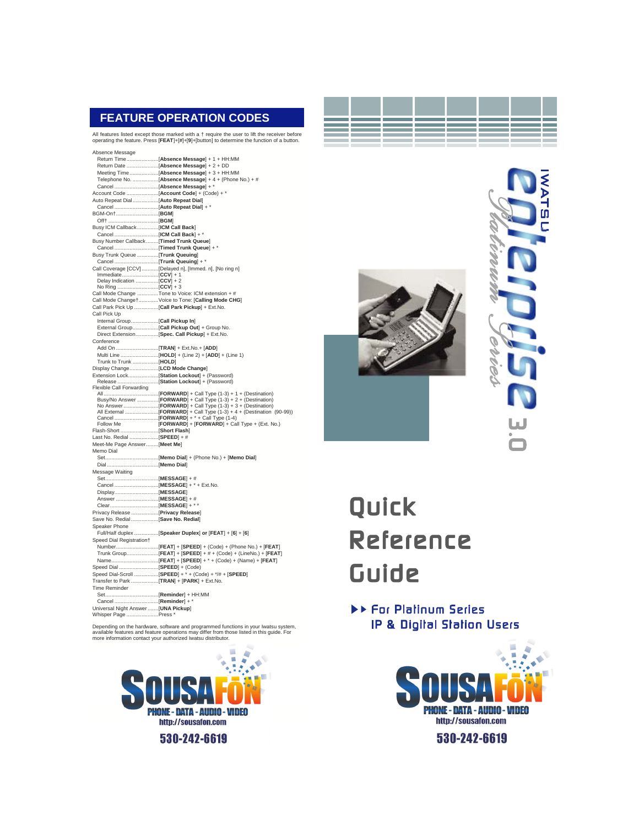# **FEATURE OPERATION CODES**

All features listed except those marked with a † require the user to lift the receiver before operating the feature. Press [**FEAT**]+[**#**]+[**9**]+[button] to determine the function of a button.

| Absence Message                                            |                                                                                                                             |
|------------------------------------------------------------|-----------------------------------------------------------------------------------------------------------------------------|
|                                                            |                                                                                                                             |
|                                                            |                                                                                                                             |
|                                                            |                                                                                                                             |
|                                                            | Telephone No.  [Absence Message] + 4 + (Phone No.) + #                                                                      |
|                                                            |                                                                                                                             |
|                                                            |                                                                                                                             |
| Auto Repeat Dial[Auto Repeat Dial]                         |                                                                                                                             |
|                                                            |                                                                                                                             |
| BGM-On†[BGM]                                               |                                                                                                                             |
|                                                            |                                                                                                                             |
| Busy ICM Callback  [ICM Call Back]                         |                                                                                                                             |
|                                                            |                                                                                                                             |
| Busy Number Callback[Timed Trunk Queue]                    |                                                                                                                             |
|                                                            |                                                                                                                             |
| Busy Trunk Queue [Trunk Queuing]                           |                                                                                                                             |
|                                                            |                                                                                                                             |
|                                                            | Call Coverage [CCV] [Delayed n], [Immed. n], [No ring n]                                                                    |
| Delay Indication [CCV] + 2                                 |                                                                                                                             |
|                                                            |                                                                                                                             |
|                                                            | Call Mode Change Tone to Voice: ICM extension +#                                                                            |
|                                                            | Call Mode Change+ Voice to Tone: [Calling Mode CHG]                                                                         |
| Call Park Pick Up  [Call Park Pickup] + Ext.No.            |                                                                                                                             |
| Call Pick Up                                               |                                                                                                                             |
| Internal Group[Call Pickup In]                             |                                                                                                                             |
|                                                            |                                                                                                                             |
|                                                            | Direct Extension [Spec. Call Pickup] + Ext.No.                                                                              |
| Conference                                                 |                                                                                                                             |
|                                                            |                                                                                                                             |
|                                                            |                                                                                                                             |
| Trunk to Trunk [HOLD]                                      |                                                                                                                             |
| Display Change[LCD Mode Change]                            |                                                                                                                             |
|                                                            | Extension Lock [Station Lockout] + (Password)                                                                               |
|                                                            |                                                                                                                             |
| <b>Flexible Call Forwarding</b>                            |                                                                                                                             |
|                                                            | Busy/No Answer [FORWARD] + Call Type (1-3) + 2 + (Destination)                                                              |
|                                                            |                                                                                                                             |
|                                                            | All External <b>FORWARD]</b> + Call Type (1-3) + 4 + (Destination (90-99))<br>Cancel <b>FORWARD</b> ] + * + Call Type (1-4) |
|                                                            |                                                                                                                             |
| Follow Me                                                  | [FORWARD] + [FORWARD] + Call Type + (Ext. No.)                                                                              |
| Flash-Short  [Short Flash]<br>Last No. Redial  [SPEED] + # |                                                                                                                             |
| Meet-Me Page Answer[Meet Me]                               |                                                                                                                             |
| Memo Dial                                                  |                                                                                                                             |
|                                                            |                                                                                                                             |
|                                                            |                                                                                                                             |
| Message Waiting                                            |                                                                                                                             |
|                                                            |                                                                                                                             |
|                                                            |                                                                                                                             |
|                                                            |                                                                                                                             |
|                                                            |                                                                                                                             |
|                                                            |                                                                                                                             |
| Privacy Release  [Privacy Release]                         |                                                                                                                             |
| Save No. Redial  [Save No. Redial]                         |                                                                                                                             |
| Speaker Phone                                              |                                                                                                                             |
|                                                            | Full/Half duplex  [Speaker Duplex] or [FEAT] + [6] + [6]                                                                    |
| Speed Dial Registration+                                   |                                                                                                                             |
|                                                            |                                                                                                                             |
|                                                            | Trunk Group[FEAT] + [SPEED] + # + (Code) + (LineNo.) + [FEAT]                                                               |
|                                                            |                                                                                                                             |
| Speed Dial  [SPEED] + (Code)                               |                                                                                                                             |
|                                                            | Speed Dial-Scroll  [SPEED] + * + (Code) + */# + [SPEED]                                                                     |
| Transfer to Park [TRAN] + [PARK] + Ext.No.                 |                                                                                                                             |
| Time Reminder                                              |                                                                                                                             |
|                                                            |                                                                                                                             |
|                                                            |                                                                                                                             |
| Universal Night Answer[UNA Pickup]<br>Whisper Page Press * |                                                                                                                             |
|                                                            |                                                                                                                             |

Depending on the hardware, software and programmed functions in your Iwatsu system,<br>available features and feature operations may differ from those listed in this guide. For<br>more information contact your authorized Iwatsu







# Quick Reference Guide

IF For Platinum Series IP & Digital Station Users

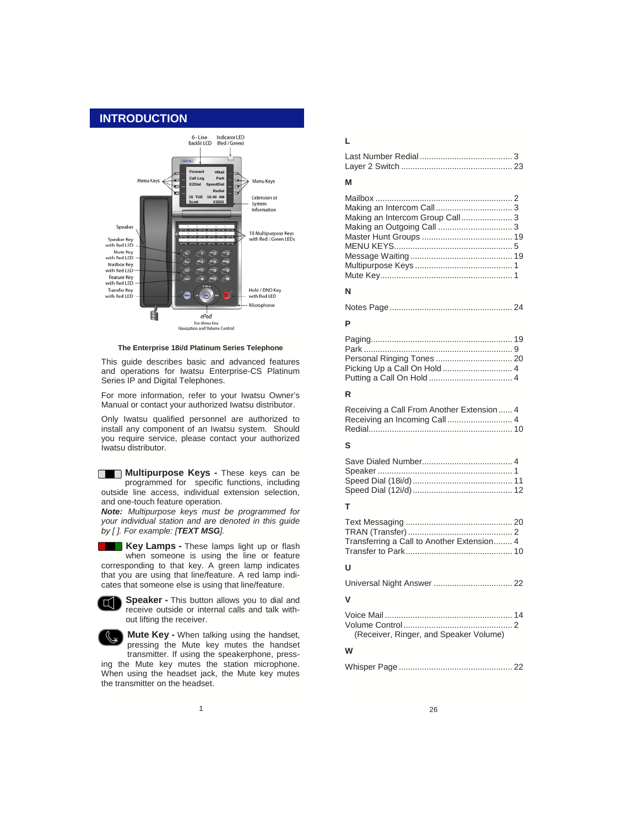# **INTRODUCTION**



**The Enterprise 18i/d Platinum Series Telephone** 

This guide describes basic and advanced features and operations for Iwatsu Enterprise-CS Platinum Series IP and Digital Telephones.

For more information, refer to your Iwatsu Owner's Manual or contact your authorized Iwatsu distributor.

Only Iwatsu qualified personnel are authorized to install any component of an Iwatsu system. Should you require service, please contact your authorized Iwatsu distributor.

**Multipurpose Keys - These keys can be** programmed for specific functions, including outside line access, individual extension selection, and one-touch feature operation.

*Note: Multipurpose keys must be programmed for your individual station and are denoted in this guide by [ ]. For example: [TEXT MSG].*

**Key Lamps - These lamps light up or flash** when someone is using the line or feature corresponding to that key. A green lamp indicates that you are using that line/feature. A red lamp indicates that someone else is using that line/feature.



**Speaker -** This button allows you to dial and receive outside or internal calls and talk without lifting the receiver.



**Mute Key - When talking using the handset,** pressing the Mute key mutes the handset transmitter. If using the speakerphone, pressing the Mute key mutes the station microphone.

When using the headset jack, the Mute key mutes the transmitter on the headset.

# **L**

# **M**

# **N**

Notes Page..................................................... 24

### **P**

### **R**

Receiving a Call From Another Extension...... 4 Receiving an Incoming Call ............................ 4 Redial.............................................................. 10

### **S**

# **T**

Text Messaging .............................................. 20 TRAN (Transfer) ............................................. 2 Transferring a Call to Another Extension........ 4 Transfer to Park.............................................. 10

# **U**

Universal Night Answer .................................. 22 **V**  Voice Mail ....................................................... 14

#### Volume Control............................................... 2 (Receiver, Ringer, and Speaker Volume)

#### **W**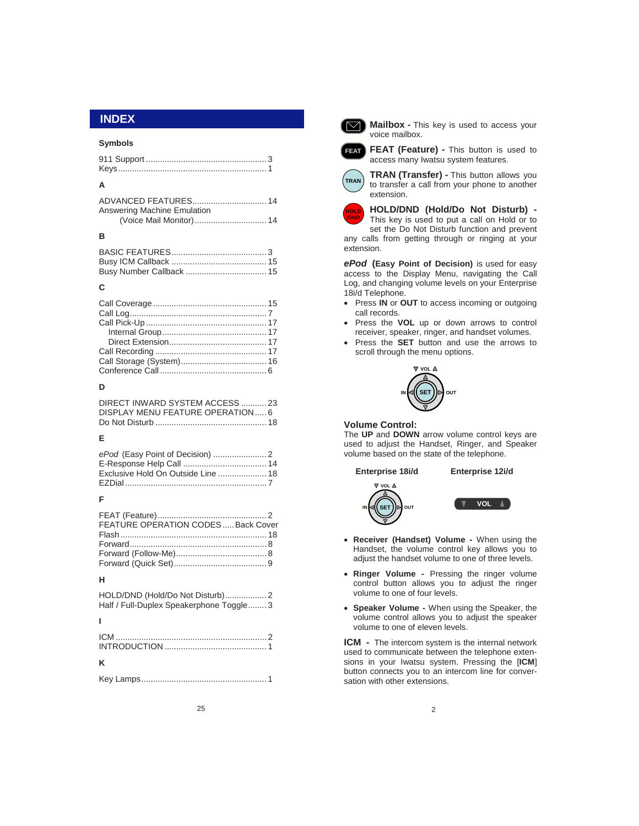#### **Symbols**

| A                                  |  |
|------------------------------------|--|
| <b>Answering Machine Emulation</b> |  |
|                                    |  |

# **B**

# **C**

#### **D**

| DIRECT INWARD SYSTEM ACCESS 23    |  |
|-----------------------------------|--|
| DISPLAY MENU FEATURE OPERATION  6 |  |
|                                   |  |

# **E**

| Exclusive Hold On Outside Line  18 |  |
|------------------------------------|--|
|                                    |  |

#### **F**

| FEATURE OPERATION CODESBack Cover |  |
|-----------------------------------|--|
|                                   |  |
|                                   |  |
|                                   |  |
|                                   |  |

#### **H**

| Half / Full-Duplex Speakerphone Toggle3 |  |
|-----------------------------------------|--|

# **I**

|--|

25



**INDEX Mailbox** - **This key is used to access your** voice mailbox.



**FEAT** FEAT (Feature) - This button is used to access many Iwatsu system features.



**TRAN (Transfer) - This button allows you** to transfer a call from your phone to another extension.



**HOLD/DND (Hold/Do Not Disturb) -** 

This key is used to put a call on Hold or to set the Do Not Disturb function and prevent any calls from getting through or ringing at your extension.

*ePod* **(Easy Point of Decision)** is used for easy access to the Display Menu, navigating the Call Log, and changing volume levels on your Enterprise 18i/d Telephone.

- Press **IN** or **OUT** to access incoming or outgoing call records.
- Press the **VOL** up or down arrows to control receiver, speaker, ringer, and handset volumes.
- Press the **SET** button and use the arrows to scroll through the menu options.



#### **Volume Control:**

The **UP** and **DOWN** arrow volume control keys are used to adjust the Handset, Ringer, and Speaker volume based on the state of the telephone.





- **Receiver (Handset) Volume** When using the Handset, the volume control key allows you to adjust the handset volume to one of three levels.
- **Ringer Volume** Pressing the ringer volume control button allows you to adjust the ringer volume to one of four levels.
- **Speaker Volume** When using the Speaker, the volume control allows you to adjust the speaker volume to one of eleven levels.

**ICM** - The intercom system is the internal network used to communicate between the telephone extensions in your Iwatsu system. Pressing the [**ICM**] button connects you to an intercom line for conversation with other extensions.

2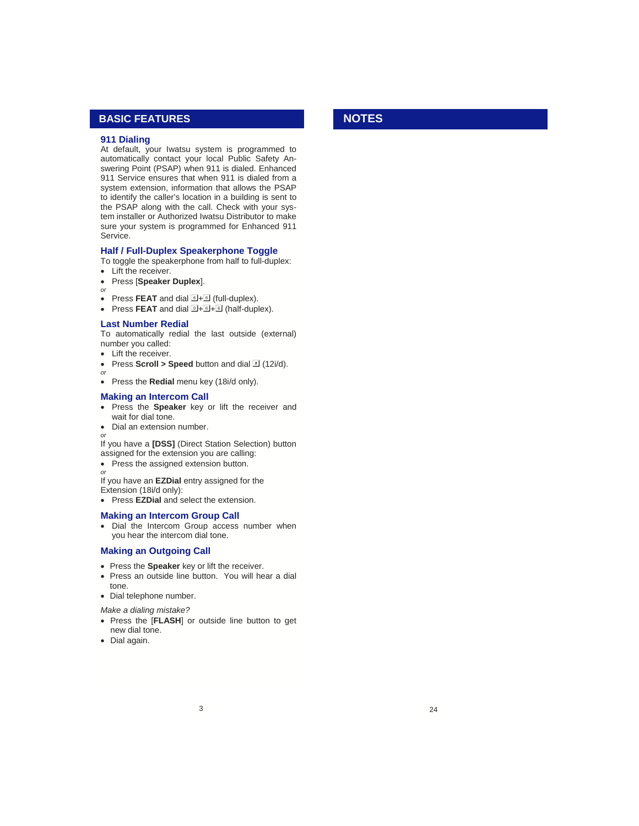# **BASIC FEATURES**

#### **911 Dialing**

At default, your Iwatsu system is programmed to automatically contact your local Public Safety Answering Point (PSAP) when 911 is dialed. Enhanced 911 Service ensures that when 911 is dialed from a system extension, information that allows the PSAP to identify the caller's location in a building is sent to the PSAP along with the call. Check with your system installer or Authorized Iwatsu Distributor to make sure your system is programmed for Enhanced 911 Service.

#### **Half / Full-Duplex Speakerphone Toggle**

To toggle the speakerphone from half to full-duplex:

- Lift the receiver.
- Press [**Speaker Duplex**].
- *or*

*or*

- Press FEAT and dial  $\overline{6}$ +**6** (full-duplex).
- Press **FEAT** and dial  $\overline{0}$ +  $\overline{0}$  +  $\overline{0}$  (half-duplex).

#### **Last Number Redial**

To automatically redial the last outside (external) number you called:

- Lift the receiver.
- Press **Scroll > Speed** button and dial  $\overline{H}$  (12i/d).
- Press the **Redial** menu key (18i/d only).

#### **Making an Intercom Call**

• Press the **Speaker** key or lift the receiver and wait for dial tone.

• Dial an extension number.

*or* If you have a **[DSS]** (Direct Station Selection) button assigned for the extension you are calling:

- Press the assigned extension button.
- *or*

If you have an **EZDial** entry assigned for the

Extension (18i/d only):

• Press **EZDial** and select the extension.

#### **Making an Intercom Group Call**

• Dial the Intercom Group access number when you hear the intercom dial tone.

# **Making an Outgoing Call**

- Press the **Speaker** key or lift the receiver.
- Press an outside line button. You will hear a dial tone.
- Dial telephone number.

*Make a dialing mistake?*

- Press the [**FLASH**] or outside line button to get new dial tone.
- Dial again.

# **NOTES**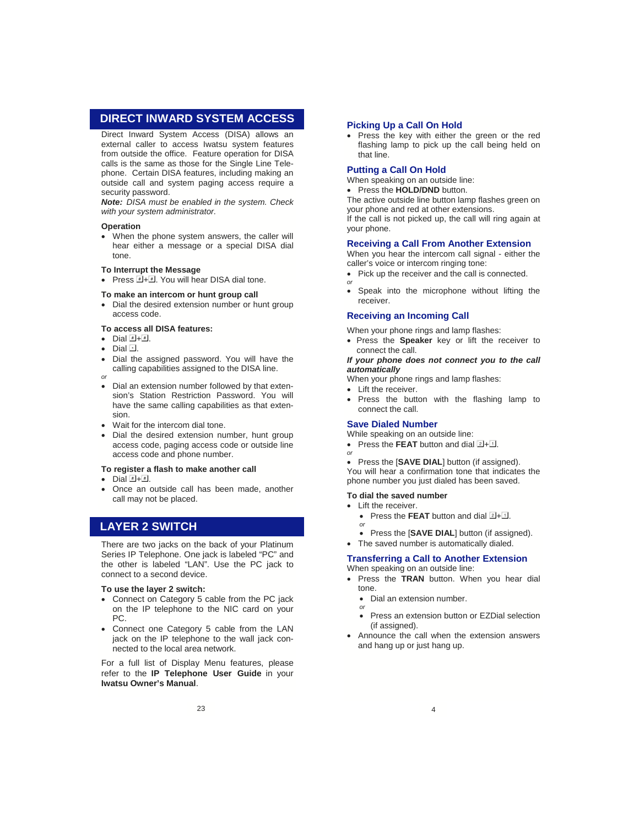# **DIRECT INWARD SYSTEM ACCESS**

Direct Inward System Access (DISA) allows an external caller to access Iwatsu system features from outside the office. Feature operation for DISA calls is the same as those for the Single Line Telephone. Certain DISA features, including making an outside call and system paging access require a security password.

*Note: DISA must be enabled in the system. Check with your system administrator.*

#### **Operation**

• When the phone system answers, the caller will hear either a message or a special DISA dial tone.

#### **To Interrupt the Message**

• Press  $H + H$ . You will hear DISA dial tone.

#### **To make an intercom or hunt group call**

• Dial the desired extension number or hunt group access code.

#### **To access all DISA features:**

- Dial  $H + H$ .
- Dial .
- Dial the assigned password. You will have the calling capabilities assigned to the DISA line.
- *or* • Dial an extension number followed by that extension's Station Restriction Password. You will have the same calling capabilities as that extension.
- Wait for the intercom dial tone.
- Dial the desired extension number, hunt group access code, paging access code or outside line access code and phone number.

#### **To register a flash to make another call**

- Dial  $\overline{\mathbb{H}} + \overline{\mathbb{H}}$ .
- Once an outside call has been made, another call may not be placed.

# **LAYER 2 SWITCH**

There are two jacks on the back of your Platinum Series IP Telephone. One jack is labeled "PC" and the other is labeled "LAN". Use the PC jack to connect to a second device.

#### **To use the layer 2 switch:**

- Connect on Category 5 cable from the PC jack on the IP telephone to the NIC card on your PC.
- Connect one Category 5 cable from the LAN jack on the IP telephone to the wall jack connected to the local area network.

For a full list of Display Menu features, please refer to the **IP Telephone User Guide** in your **Iwatsu Owner's Manual**.

#### **Picking Up a Call On Hold**

• Press the key with either the green or the red flashing lamp to pick up the call being held on that line.

#### **Putting a Call On Hold**

When speaking on an outside line:

• Press the **HOLD/DND** button.

The active outside line button lamp flashes green on your phone and red at other extensions.

If the call is not picked up, the call will ring again at your phone.

#### **Receiving a Call From Another Extension**

When you hear the intercom call signal - either the caller's voice or intercom ringing tone:

- Pick up the receiver and the call is connected. *or*
- Speak into the microphone without lifting the receiver.

#### **Receiving an Incoming Call**

When your phone rings and lamp flashes:

• Press the **Speaker** key or lift the receiver to connect the call.

#### *If your phone does not connect you to the call automatically*

When your phone rings and lamp flashes:

- Lift the receiver.
- Press the button with the flashing lamp to connect the call.

# **Save Dialed Number**

While speaking on an outside line:

- Press the **FEAT** button and dial  $2 + 1$ . *or*
	-

• Press the [**SAVE DIAL**] button (if assigned). You will hear a confirmation tone that indicates the phone number you just dialed has been saved.

#### **To dial the saved number**

- Lift the receiver.
	- Press the **FEAT** button and dial  $2 + 1$ .
	- *or*
	- Press the [**SAVE DIAL**] button (if assigned).
- The saved number is automatically dialed.

#### **Transferring a Call to Another Extension**  When speaking on an outside line:

- Press the **TRAN** button. When you hear dial tone.
	- Dial an extension number.
	- *or*
	- Press an extension button or EZDial selection (if assigned).
- Announce the call when the extension answers and hang up or just hang up.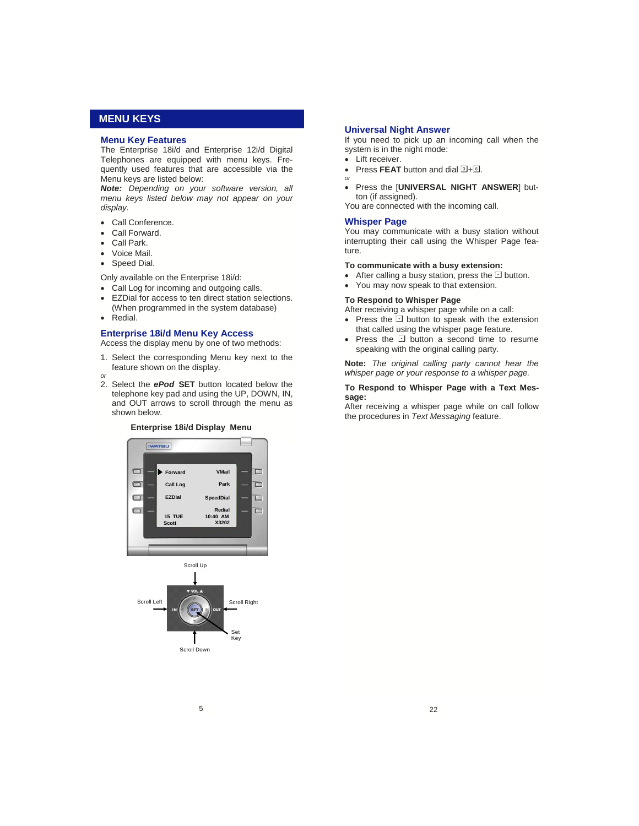# **MENU KEYS**

#### **Menu Key Features**

The Enterprise 18i/d and Enterprise 12i/d Digital Telephones are equipped with menu keys. Frequently used features that are accessible via the Menu keys are listed below:

*Note: Depending on your software version, all menu keys listed below may not appear on your display.*

- Call Conference.
- Call Forward.
- Call Park.
- Voice Mail.
- Speed Dial.

Only available on the Enterprise 18i/d:

- Call Log for incoming and outgoing calls.
- EZDial for access to ten direct station selections. (When programmed in the system database)
- Redial.

*or* 

#### **Enterprise 18i/d Menu Key Access**

Access the display menu by one of two methods:

- 1. Select the corresponding Menu key next to the feature shown on the display.
- 2. Select the *ePod* **SET** button located below the telephone key pad and using the UP, DOWN, IN, and OUT arrows to scroll through the menu as shown below.

#### **Enterprise 18i/d Display Menu**





#### **Universal Night Answer**

If you need to pick up an incoming call when the system is in the night mode:

- Lift receiver.
- Press **FEAT** button and dial  $1\overline{3} + \overline{6}$ . *or*
- Press the [**UNIVERSAL NIGHT ANSWER**] button (if assigned).

You are connected with the incoming call.

#### **Whisper Page**

You may communicate with a busy station without interrupting their call using the Whisper Page feature.

#### **To communicate with a busy extension:**

- After calling a busy station, press the  $\Box$  button.
- You may now speak to that extension.

#### **To Respond to Whisper Page**

After receiving a whisper page while on a call:

- Press the  $\Box$  button to speak with the extension that called using the whisper page feature.
- Press the  $\Box$  button a second time to resume speaking with the original calling party.

**Note:** *The original calling party cannot hear the whisper page or your response to a whisper page.*

#### **To Respond to Whisper Page with a Text Message:**

After receiving a whisper page while on call follow the procedures in *Text Messaging* feature.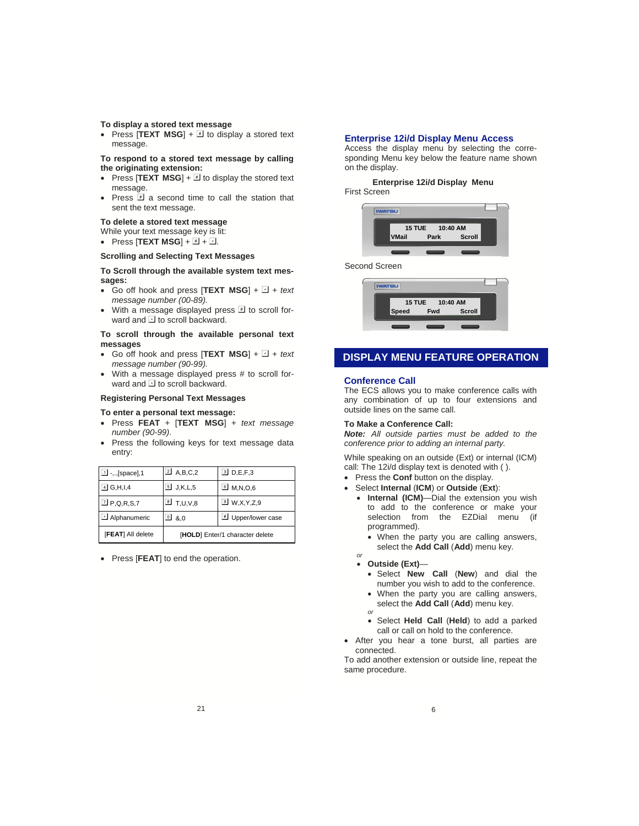#### **To display a stored text message**

• Press [**TEXT MSG**]  $+ \mathbb{F}$  to display a stored text message.

**To respond to a stored text message by calling the originating extension:** 

- Press  $[TEXT \, MSG] + 1$  to display the stored text message.
- Press  $\mathbb F$  a second time to call the station that sent the text message.

#### **To delete a stored text message**

While your text message key is lit:

• Press  $[TEXT MSG] + 4H + 1H$ .

# **Scrolling and Selecting Text Messages**

#### **To Scroll through the available system text messages:**

- Go off hook and press  $[TEXT \text{ MSG}] + \Box + text$ *message number (00-89).*
- With a message displayed press  $\overline{\mathbb{F}}$  to scroll forward and  $\Box$  to scroll backward.

#### **To scroll through the available personal text messages**

- Go off hook and press  $[TEXT \, MSG] + 1 + text$ *message number (90-99).*
- With a message displayed press # to scroll forward and  $\Box$  to scroll backward.

#### **Registering Personal Text Messages**

#### **To enter a personal text message:**

- Press **FEAT** + [**TEXT MSG**] + *text message number (90-99)*.
- Press the following keys for text message data entry:

| [FEAT] All delete          | [HOLD] Enter/1 character delete |                           |
|----------------------------|---------------------------------|---------------------------|
| Alphanumeric               | $\mathbf{0}$ & $\mathbf{0}$     | Upper/lower case          |
| $\boxed{2}$ P,Q,R,S,7      | <b>8</b> T,U,V,8                | $\boxed{9}$ W, X, Y, Z, 9 |
| $\boxed{4}$ G,H,I,4        | $5$ J,K,L,5                     | $\boxed{6}$ M, N, O, 6    |
| $\boxed{1}$ -,, [space], 1 | $\boxed{2}$ A, B, C, 2          | $3$ D, E, F, 3            |

• Press [**FEAT**] to end the operation.

#### **Enterprise 12i/d Display Menu Access**

Access the display menu by selecting the corresponding Menu key below the feature name shown on the display.

 **Enterprise 12i/d Display Menu**  First Screen



#### Second Screen



# **DISPLAY MENU FEATURE OPERATION**

#### **Conference Call**

The ECS allows you to make conference calls with any combination of up to four extensions and outside lines on the same call.

#### **To Make a Conference Call:**

*Note: All outside parties must be added to the conference prior to adding an internal party.* 

While speaking on an outside (Ext) or internal (ICM) call: The 12i/d display text is denoted with ( ).

- Press the **Conf** button on the display.
- Select **Internal** (**ICM**) or **Outside** (**Ext**):
	- **Internal (ICM)**—Dial the extension you wish to add to the conference or make your selection from the EZDial menu (if programmed).
		- When the party you are calling answers, select the **Add Call** (**Add**) menu key.
	- **Outside (Ext)**—

*or* 

- Select **New Call** (**New**) and dial the number you wish to add to the conference.
- When the party you are calling answers, select the **Add Call** (**Add**) menu key.
- *or* • Select **Held Call** (**Held**) to add a parked
- call or call on hold to the conference. • After you hear a tone burst, all parties are
- connected.

To add another extension or outside line, repeat the same procedure.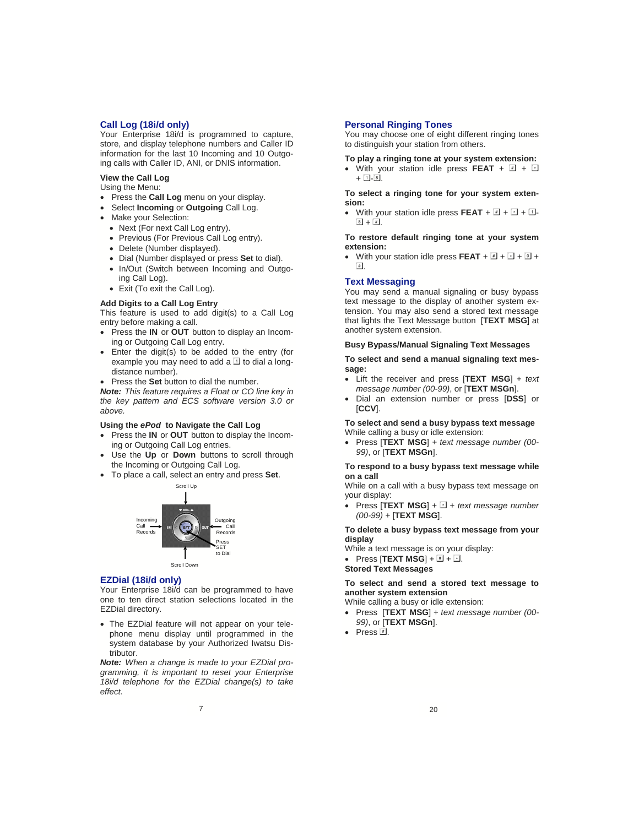#### **Call Log (18i/d only)**

Your Enterprise 18i/d is programmed to capture, store, and display telephone numbers and Caller ID information for the last 10 Incoming and 10 Outgoing calls with Caller ID, ANI, or DNIS information.

# **View the Call Log**

Using the Menu:

- Press the **Call Log** menu on your display.
- Select **Incoming** or **Outgoing** Call Log.
- Make your Selection:
	- Next (For next Call Log entry).
	- Previous (For Previous Call Log entry).
	- Delete (Number displayed).
	- Dial (Number displayed or press **Set** to dial).
	- In/Out (Switch between Incoming and Outgo-
	- ing Call Log).
	- Exit (To exit the Call Log).

#### **Add Digits to a Call Log Entry**

This feature is used to add digit(s) to a Call Log entry before making a call.

- Press the **IN** or **OUT** button to display an Incoming or Outgoing Call Log entry.
- Enter the digit(s) to be added to the entry (for example you may need to add a  $\Box$  to dial a longdistance number).
- Press the **Set** button to dial the number.

*Note: This feature requires a Float or CO line key in the key pattern and ECS software version 3.0 or above.* 

#### **Using the** *ePod* **to Navigate the Call Log**

- Press the **IN** or **OUT** button to display the Incoming or Outgoing Call Log entries.
- Use the Up or Down buttons to scroll through the Incoming or Outgoing Call Log.
- To place a call, select an entry and press **Set**.



#### **EZDial (18i/d only)**

Your Enterprise 18i/d can be programmed to have one to ten direct station selections located in the EZDial directory.

• The EZDial feature will not appear on your telephone menu display until programmed in the system database by your Authorized Iwatsu Distributor.

*Note: When a change is made to your EZDial programming, it is important to reset your Enterprise 18i/d telephone for the EZDial change(s) to take effect.*

#### **Personal Ringing Tones**

You may choose one of eight different ringing tones to distinguish your station from others.

**To play a ringing tone at your system extension:** 

• With your station idle press **FEAT** +  $\boxed{1}$  +  $\boxed{3}$  $+ \Box - 8.$ 

**To select a ringing tone for your system extension:** 

• With your station idle press **FEAT** +  $\mathbb{F}$  +  $\mathbb{F}$  +  $\mathbb{F}$  $\boxed{8} + \boxed{4}$ .

#### **To restore default ringing tone at your system extension:**

• With your station idle press **FEAT** +  $\boxed{1}$  +  $\boxed{2}$  +  $\boxed{0}$  +  $\boxed{\text{#}}$ .

#### **Text Messaging**

You may send a manual signaling or busy bypass text message to the display of another system extension. You may also send a stored text message that lights the Text Message button [**TEXT MSG**] at another system extension.

#### **Busy Bypass/Manual Signaling Text Messages**

#### **To select and send a manual signaling text message:**

- Lift the receiver and press [**TEXT MSG**] + *text message number (00-99)*, or [**TEXT MSGn**].
- Dial an extension number or press [**DSS**] or [**CCV**].

**To select and send a busy bypass text message**  While calling a busy or idle extension:

• Press [**TEXT MSG**] + *text message number (00- 99)*, or [**TEXT MSGn**].

#### **To respond to a busy bypass text message while on a call**

While on a call with a busy bypass text message on your display:

• Press  $[TEXT \, MSG] + \Box + text$  message number *(00-99)* + [**TEXT MSG**].

#### **To delete a busy bypass text message from your display**

While a text message is on your display:

• Press  $[TEXT MSG] + 1 + 1$ .

**Stored Text Messages** 

#### **To select and send a stored text message to another system extension**

While calling a busy or idle extension:

- Press [**TEXT MSG**] + *text message number (00- 99)*, or [**TEXT MSGn**].
- Press  $\overline{\mathbb{F}}$ .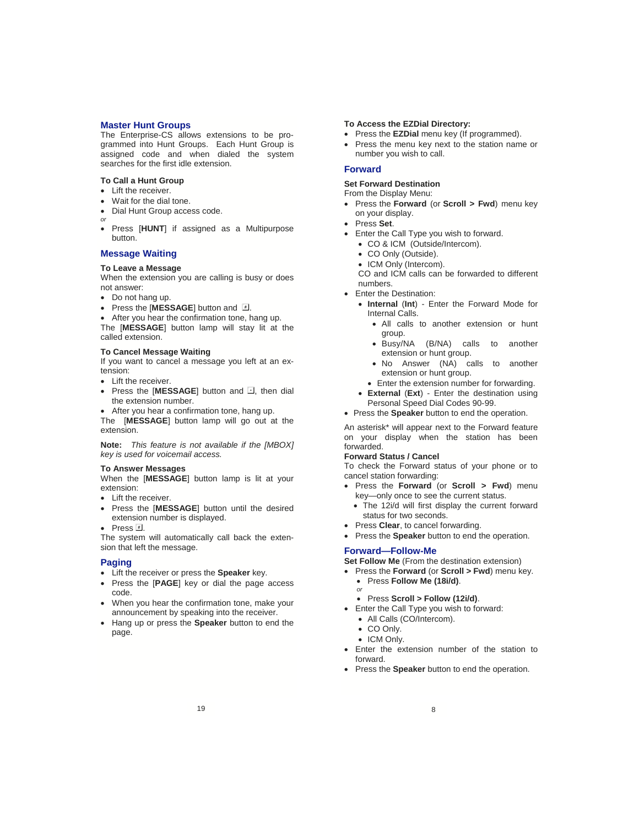#### **Master Hunt Groups**

The Enterprise-CS allows extensions to be programmed into Hunt Groups. Each Hunt Group is assigned code and when dialed the system searches for the first idle extension.

#### **To Call a Hunt Group**

- Lift the receiver.
- Wait for the dial tone.
- Dial Hunt Group access code.
- *or* • Press [**HUNT**] if assigned as a Multipurpose button.

#### **Message Waiting**

# **To Leave a Message**

When the extension you are calling is busy or does not answer:

- Do not hang up.
- Press the [MESSAGE] button and  $\overline{H}$ .
- After you hear the confirmation tone, hang up. The [**MESSAGE**] button lamp will stay lit at the called extension.

#### **To Cancel Message Waiting**

If you want to cancel a message you left at an extension:

- Lift the receiver.
- Press the [MESSAGE] button and **E**, then dial the extension number.
- After you hear a confirmation tone, hang up.

The [**MESSAGE**] button lamp will go out at the extension.

**Note:** *This feature is not available if the [MBOX] key is used for voicemail access.* 

#### **To Answer Messages**

When the [**MESSAGE**] button lamp is lit at your extension:

- Lift the receiver.
- Press the [**MESSAGE**] button until the desired extension number is displayed.
- Press  $\overline{\mathbb{F}}$ .

The system will automatically call back the extension that left the message.

#### **Paging**

- Lift the receiver or press the **Speaker** key.
- Press the [**PAGE**] key or dial the page access code.
- When you hear the confirmation tone, make your announcement by speaking into the receiver.
- Hang up or press the **Speaker** button to end the page.

#### **To Access the EZDial Directory:**

- Press the **EZDial** menu key (If programmed).
- Press the menu key next to the station name or number you wish to call.

#### **Forward**

#### **Set Forward Destination**

From the Display Menu:

- Press the **Forward** (or **Scroll > Fwd**) menu key on your display.
- Press **Set**.
- Enter the Call Type you wish to forward.
	- CO & ICM (Outside/Intercom).
	- CO Only (Outside).
	- ICM Only (Intercom).
	- CO and ICM calls can be forwarded to different numbers.
- Enter the Destination:
	- **Internal** (**Int**) Enter the Forward Mode for Internal Calls.
		- All calls to another extension or hunt group.
		- Busy/NA (B/NA) calls to another extension or hunt group.
		- No Answer (NA) calls to another extension or hunt group.
		- Enter the extension number for forwarding.
	- **External** (**Ext**) Enter the destination using Personal Speed Dial Codes 90-99.
- Press the **Speaker** button to end the operation.

An asterisk\* will appear next to the Forward feature on your display when the station has been forwarded.

#### **Forward Status / Cancel**

To check the Forward status of your phone or to cancel station forwarding:

- Press the **Forward** (or **Scroll > Fwd**) menu key—only once to see the current status.
	- The 12i/d will first display the current forward status for two seconds.
- Press **Clear**, to cancel forwarding.
- Press the **Speaker** button to end the operation.

#### **Forward—Follow-Me**

**Set Follow Me** (From the destination extension)

- Press the **Forward** (or **Scroll > Fwd**) menu key. • Press **Follow Me (18i/d)**.
	- *or*
	- Press **Scroll > Follow (12i/d)**.
- Enter the Call Type you wish to forward:
	- All Calls (CO/Intercom).
	- CO Only.
	- ICM Only.
- Enter the extension number of the station to forward.
- Press the **Speaker** button to end the operation.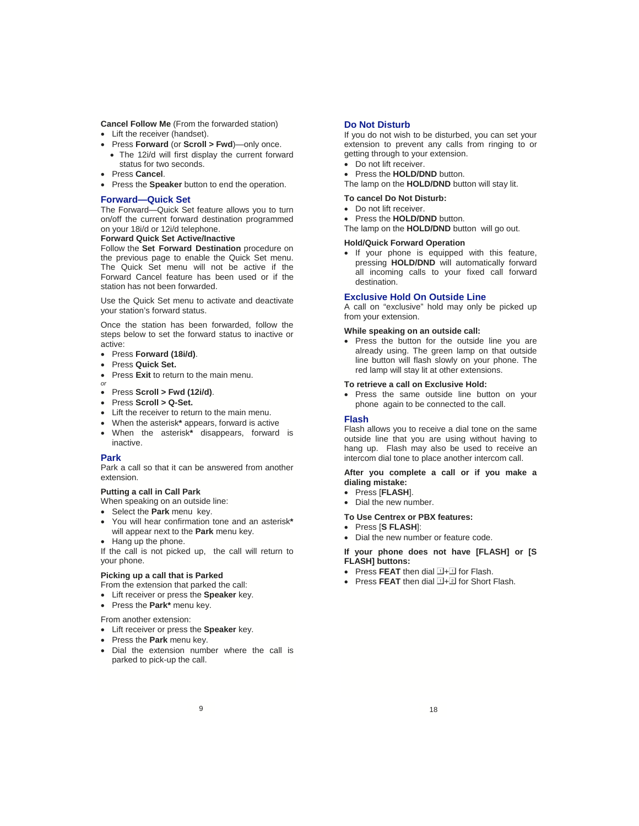**Cancel Follow Me** (From the forwarded station) • Lift the receiver (handset).

- Press **Forward** (or **Scroll > Fwd**)—only once.
- The 12i/d will first display the current forward status for two seconds.
- Press **Cancel**.
- Press the **Speaker** button to end the operation.

#### **Forward—Quick Set**

The Forward—Quick Set feature allows you to turn on/off the current forward destination programmed on your 18i/d or 12i/d telephone.

#### **Forward Quick Set Active/Inactive**

Follow the **Set Forward Destination** procedure on the previous page to enable the Quick Set menu. The Quick Set menu will not be active if the Forward Cancel feature has been used or if the station has not been forwarded.

Use the Quick Set menu to activate and deactivate your station's forward status.

Once the station has been forwarded, follow the steps below to set the forward status to inactive or active:

- Press **Forward (18i/d)**.
- Press **Quick Set.**
- Press **Exit** to return to the main menu.
- *or*
- Press **Scroll > Fwd (12i/d)**.
- Press **Scroll > Q-Set.**
- Lift the receiver to return to the main menu.
- When the asterisk**\*** appears, forward is active
- When the asterisk**\*** disappears, forward is inactive.

#### **Park**

Park a call so that it can be answered from another extension.

#### **Putting a call in Call Park**

When speaking on an outside line:

- Select the **Park** menu key.
- You will hear confirmation tone and an asterisk**\*** will appear next to the **Park** menu key.
- Hang up the phone.

If the call is not picked up, the call will return to your phone.

#### **Picking up a call that is Parked**

From the extension that parked the call:

- Lift receiver or press the **Speaker** key.
- Press the **Park\*** menu key.

#### From another extension:

- Lift receiver or press the **Speaker** key.
- Press the **Park** menu key.
- Dial the extension number where the call is parked to pick-up the call.

#### **Do Not Disturb**

If you do not wish to be disturbed, you can set your extension to prevent any calls from ringing to or getting through to your extension.

- Do not lift receiver.
- Press the **HOLD/DND** button. The lamp on the **HOLD/DND** button will stay lit.
- 

# **To cancel Do Not Disturb:**

- Do not lift receiver.
- Press the **HOLD/DND** button.

The lamp on the **HOLD/DND** button will go out.

#### **Hold/Quick Forward Operation**

• If your phone is equipped with this feature, pressing **HOLD/DND** will automatically forward all incoming calls to your fixed call forward destination.

#### **Exclusive Hold On Outside Line**

A call on "exclusive" hold may only be picked up from your extension.

#### **While speaking on an outside call:**

• Press the button for the outside line you are already using. The green lamp on that outside line button will flash slowly on your phone. The red lamp will stay lit at other extensions.

#### **To retrieve a call on Exclusive Hold:**

• Press the same outside line button on your phone again to be connected to the call.

#### **Flash**

Flash allows you to receive a dial tone on the same outside line that you are using without having to hang up. Flash may also be used to receive an intercom dial tone to place another intercom call.

#### **After you complete a call or if you make a dialing mistake:**

- Press [**FLASH**].
- Dial the new number.
- **To Use Centrex or PBX features:** 
	- Press [**S FLASH**]:
	- Dial the new number or feature code.

**If your phone does not have [FLASH] or [S FLASH] buttons:** 

- Press **FEAT** then dial  $\boxed{1+1}$  for Flash.
- Press FEAT then dial  $\overline{1}$ +2 for Short Flash.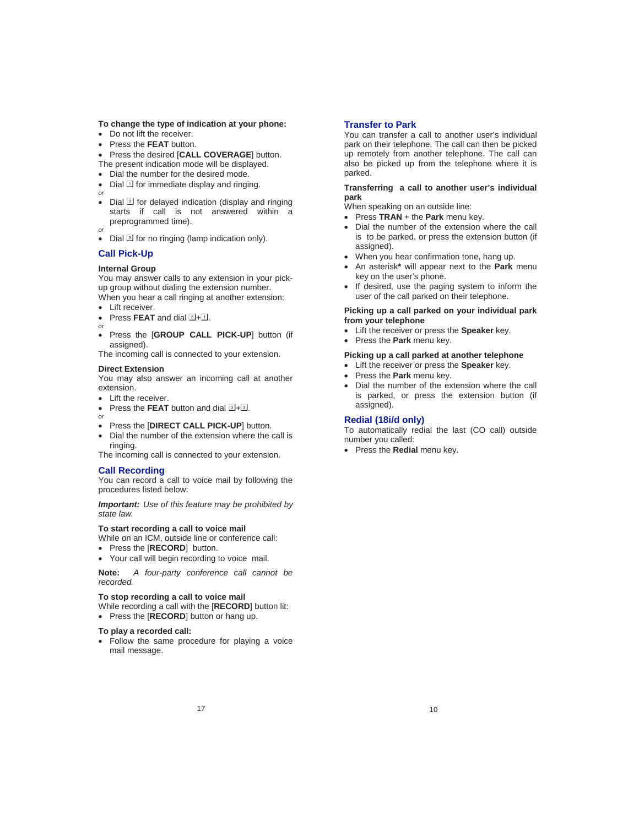#### **To change the type of indication at your phone:**

- Do not lift the receiver.
- Press the **FEAT** button.
- Press the desired [**CALL COVERAGE**] button.
- The present indication mode will be displayed.
- Dial the number for the desired mode.
- Dial  $\Box$  for immediate display and ringing.
- *or* • Dial  $\boxed{2}$  for delayed indication (display and ringing starts if call is not answered within a preprogrammed time).
- *or*
- Dial 3 for no ringing (lamp indication only).

# **Call Pick-Up**

#### **Internal Group**

You may answer calls to any extension in your pickup group without dialing the extension number. When you hear a call ringing at another extension:

• Lift receiver.

- Press **FEAT** and dial  $1 + 1$ .
- *or* • Press the [**GROUP CALL PICK-UP**] button (if assigned).

The incoming call is connected to your extension.

#### **Direct Extension**

You may also answer an incoming call at another extension.

• Lift the receiver.

*or*

- Press the **FEAT** button and dial  $1 + 1$ .
- Press the [**DIRECT CALL PICK-UP**] button.
- Dial the number of the extension where the call is ringing.

The incoming call is connected to your extension.

#### **Call Recording**

You can record a call to voice mail by following the procedures listed below:

*Important: Use of this feature may be prohibited by state law.*

#### **To start recording a call to voice mail**

While on an ICM, outside line or conference call:

- Press the [**RECORD**] button.
- Your call will begin recording to voice mail.

**Note:** *A four-party conference call cannot be recorded.* 

#### **To stop recording a call to voice mail**

While recording a call with the [**RECORD**] button lit:

• Press the [**RECORD**] button or hang up.

#### **To play a recorded call:**

• Follow the same procedure for playing a voice mail message.

#### **Transfer to Park**

You can transfer a call to another user's individual park on their telephone. The call can then be picked up remotely from another telephone. The call can also be picked up from the telephone where it is parked.

#### **Transferring a call to another user's individual park**

When speaking on an outside line:

- Press **TRAN** + the **Park** menu key.
- Dial the number of the extension where the call is to be parked, or press the extension button (if assigned).
- When you hear confirmation tone, hang up.
- An asterisk**\*** will appear next to the **Park** menu key on the user's phone.
- If desired, use the paging system to inform the user of the call parked on their telephone.

#### **Picking up a call parked on your individual park from your telephone**

- Lift the receiver or press the **Speaker** key.
- Press the **Park** menu key.

#### **Picking up a call parked at another telephone**

- Lift the receiver or press the **Speaker** key.
- Press the **Park** menu key.
- Dial the number of the extension where the call is parked, or press the extension button (if assigned).

#### **Redial (18i/d only)**

To automatically redial the last (CO call) outside number you called:

• Press the **Redial** menu key.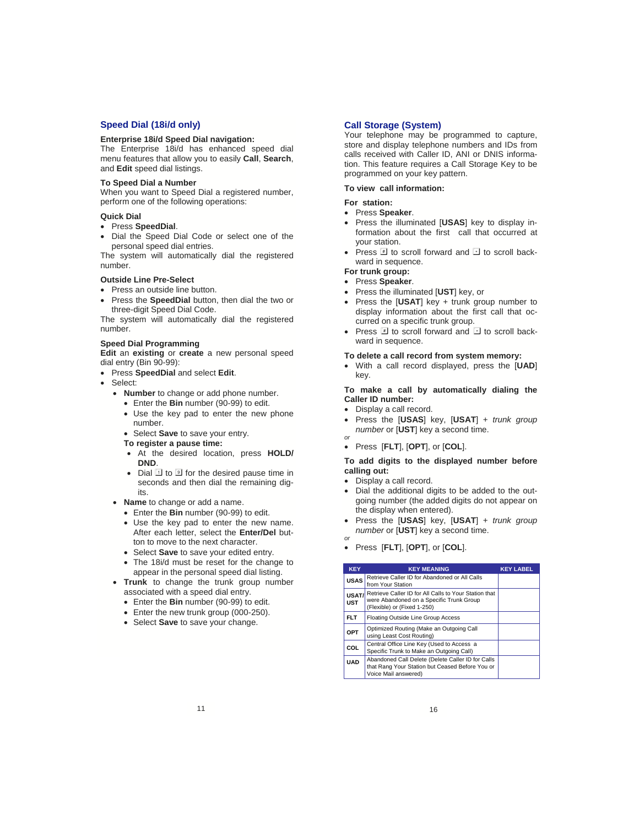#### **Speed Dial (18i/d only)**

#### **Enterprise 18i/d Speed Dial navigation:**

The Enterprise 18i/d has enhanced speed dial menu features that allow you to easily **Call**, **Search**, and **Edit** speed dial listings.

#### **To Speed Dial a Number**

When you want to Speed Dial a registered number, perform one of the following operations:

#### **Quick Dial**

- Press **SpeedDial**.
- Dial the Speed Dial Code or select one of the personal speed dial entries.

The system will automatically dial the registered number.

#### **Outside Line Pre-Select**

- Press an outside line button.
- Press the **SpeedDial** button, then dial the two or three-digit Speed Dial Code.

The system will automatically dial the registered number.

#### **Speed Dial Programming**

**Edit** an **existing** or **create** a new personal speed dial entry (Bin 90-99):

- Press **SpeedDial** and select **Edit**.
- Select:
	- **Number** to change or add phone number.
		- Enter the **Bin** number (90-99) to edit.
		- Use the key pad to enter the new phone number.
		- Select **Save** to save your entry.
		- **To register a pause time:**
		- At the desired location, press **HOLD/ DND**.
		- Dial  $\overline{1}$  to  $\overline{9}$  for the desired pause time in seconds and then dial the remaining digits.
	- **Name** to change or add a name.
		- Enter the **Bin** number (90-99) to edit.
		- Use the key pad to enter the new name. After each letter, select the **Enter/Del** button to move to the next character.
		- Select **Save** to save your edited entry.
		- The 18i/d must be reset for the change to appear in the personal speed dial listing.
	- **Trunk** to change the trunk group number associated with a speed dial entry.
		- Enter the **Bin** number (90-99) to edit.
		- Enter the new trunk group (000-250).
		- Select **Save** to save your change.

#### **Call Storage (System)**

Your telephone may be programmed to capture, store and display telephone numbers and IDs from calls received with Caller ID, ANI or DNIS information. This feature requires a Call Storage Key to be programmed on your key pattern.

**To view call information:** 

#### **For station:**

- Press **Speaker**.
- Press the illuminated [**USAS**] key to display information about the first call that occurred at your station.
- Press  $\mathbb{F}$  to scroll forward and  $\mathbb{F}$  to scroll backward in sequence.

#### **For trunk group:**

- Press **Speaker**.
- Press the illuminated [**UST**] key, or
- Press the [**USAT**] key + trunk group number to display information about the first call that occurred on a specific trunk group.
- Press  $\mathbb{F}$  to scroll forward and  $\mathbb{F}$  to scroll backward in sequence.

#### **To delete a call record from system memory:**

• With a call record displayed, press the [**UAD**] key.

#### **To make a call by automatically dialing the Caller ID number:**

- Display a call record.
- Press the [**USAS**] key, [**USAT**] + *trunk group number* or [**UST**] key a second time. *or*
- Press [**FLT**], [**OPT**], or [**COL**].

#### **To add digits to the displayed number before calling out:**

- Display a call record.
- Dial the additional digits to be added to the outgoing number (the added digits do not appear on the display when entered).
- Press the [**USAS**] key, [**USAT**] + *trunk group number* or [**UST**] key a second time. *or*
- Press [**FLT**], [**OPT**], or [**COL**].

| <b>KEY</b>          | <b>KEY MEANING</b>                                                                                                               | <b>KEY LABEL</b> |
|---------------------|----------------------------------------------------------------------------------------------------------------------------------|------------------|
| <b>USAS</b>         | Retrieve Caller ID for Abandoned or All Calls<br>from Your Station                                                               |                  |
| USAT/<br><b>UST</b> | Retrieve Caller ID for All Calls to Your Station that<br>were Abandoned on a Specific Trunk Group<br>(Flexible) or (Fixed 1-250) |                  |
| <b>FLT</b>          | Floating Outside Line Group Access                                                                                               |                  |
| OPT                 | Optimized Routing (Make an Outgoing Call<br>using Least Cost Routing)                                                            |                  |
| COL                 | Central Office Line Key (Used to Access a<br>Specific Trunk to Make an Outgoing Call)                                            |                  |
| <b>UAD</b>          | Abandoned Call Delete (Delete Caller ID for Calls<br>that Rang Your Station but Ceased Before You or<br>Voice Mail answered)     |                  |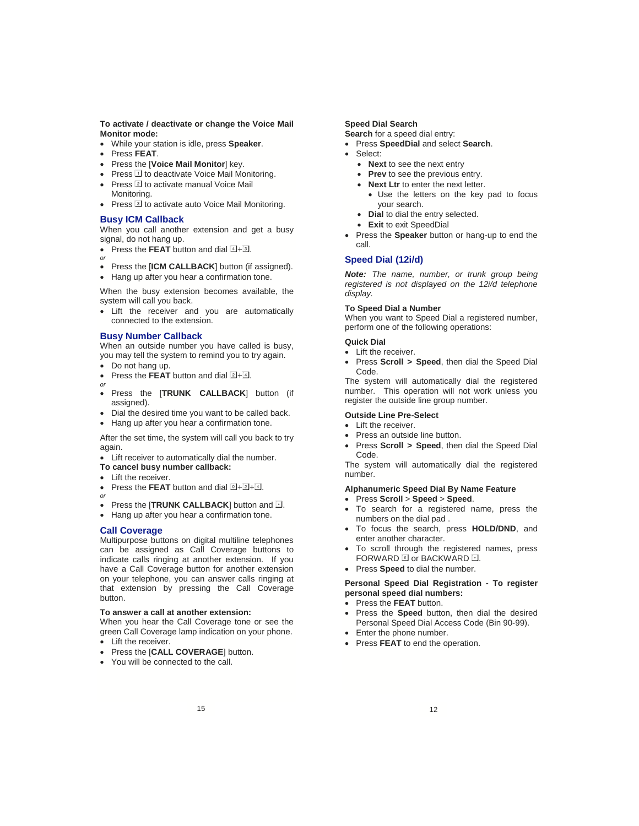**To activate / deactivate or change the Voice Mail Monitor mode:** 

- While your station is idle, press **Speaker**.
- Press **FEAT**.
- Press the [**Voice Mail Monitor**] key.
- Press  $\overline{1}$  to deactivate Voice Mail Monitoring.
- Press  $\mathbb Z$  to activate manual Voice Mail Monitoring.
- Press **I** to activate auto Voice Mail Monitoring.

#### **Busy ICM Callback**

When you call another extension and get a busy signal, do not hang up.

- Press the **FEAT** button and dial  $4\sqrt{3}$ . *or*
- Press the [**ICM CALLBACK**] button (if assigned).
- Hang up after you hear a confirmation tone.

When the busy extension becomes available, the system will call you back.

• Lift the receiver and you are automatically connected to the extension.

#### **Busy Number Callback**

When an outside number you have called is busy, you may tell the system to remind you to try again.

- Do not hang up.
- Press the **FFAT** button and dial  $\boxed{2 + 4}$ . *or*
- Press the [**TRUNK CALLBACK**] button (if assigned).
- Dial the desired time you want to be called back.
- Hang up after you hear a confirmation tone.

After the set time, the system will call you back to try again.

- Lift receiver to automatically dial the number.
- **To cancel busy number callback:**
- Lift the receiver.
- Press the **FEAT** button and dial  $\overline{1} + \overline{2} + \overline{4}$ .
- *or* • Press the [TRUNK CALLBACK] button and **E**.
- Hang up after you hear a confirmation tone.

#### **Call Coverage**

Multipurpose buttons on digital multiline telephones can be assigned as Call Coverage buttons to indicate calls ringing at another extension. If you have a Call Coverage button for another extension on your telephone, you can answer calls ringing at that extension by pressing the Call Coverage button.

### **To answer a call at another extension:**

When you hear the Call Coverage tone or see the green Call Coverage lamp indication on your phone. • Lift the receiver.

- Press the [**CALL COVERAGE**] button.
- You will be connected to the call.

#### **Speed Dial Search**

**Search** for a speed dial entry:

- Press **SpeedDial** and select **Search**.
- Select:
	- **Next** to see the next entry
	- **Prev** to see the previous entry.
	- **Next Ltr** to enter the next letter.
		- Use the letters on the key pad to focus your search.
	- **Dial** to dial the entry selected.
	- **Exit** to exit SpeedDial
- Press the **Speaker** button or hang-up to end the call.

#### **Speed Dial (12i/d)**

*Note: The name, number, or trunk group being registered is not displayed on the 12i/d telephone display.* 

#### **To Speed Dial a Number**

When you want to Speed Dial a registered number, perform one of the following operations:

#### **Quick Dial**

- Lift the receiver.
- Press **Scroll > Speed**, then dial the Speed Dial Code.

The system will automatically dial the registered number. This operation will not work unless you register the outside line group number.

#### **Outside Line Pre-Select**

- Lift the receiver.
- Press an outside line button.
- Press **Scroll > Speed**, then dial the Speed Dial Code.

The system will automatically dial the registered number.

#### **Alphanumeric Speed Dial By Name Feature**

- Press **Scroll** > **Speed** > **Speed**.
- To search for a registered name, press the numbers on the dial pad .
- To focus the search, press **HOLD/DND**, and enter another character.
- To scroll through the registered names, press FORWARD  $\overline{H}$  or BACKWARD  $\overline{H}$ .
- Press **Speed** to dial the number.

#### **Personal Speed Dial Registration - To register personal speed dial numbers:**

- Press the **FEAT** button.
- Press the **Speed** button, then dial the desired Personal Speed Dial Access Code (Bin 90-99).
- Enter the phone number.
- Press **FEAT** to end the operation.